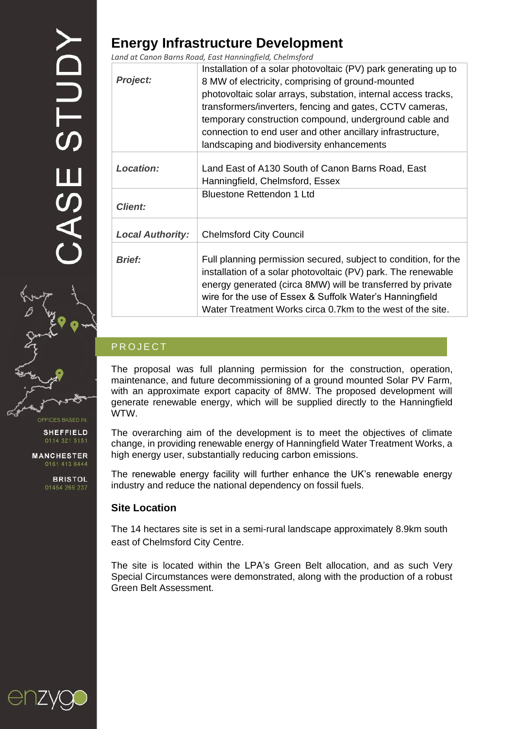OFFICES BASED IN:

**SHEFFIELD** 

**MANCHESTER** 0161 413 6444

**BRISTOL** 

## **Energy Infrastructure Development**

*Land at Canon Barns Road, East Hanningfield, Chelmsford*

| <b>Project:</b>         | Installation of a solar photovoltaic (PV) park generating up to<br>8 MW of electricity, comprising of ground-mounted<br>photovoltaic solar arrays, substation, internal access tracks,<br>transformers/inverters, fencing and gates, CCTV cameras,<br>temporary construction compound, underground cable and<br>connection to end user and other ancillary infrastructure,<br>landscaping and biodiversity enhancements |
|-------------------------|-------------------------------------------------------------------------------------------------------------------------------------------------------------------------------------------------------------------------------------------------------------------------------------------------------------------------------------------------------------------------------------------------------------------------|
| <b>Location:</b>        | Land East of A130 South of Canon Barns Road, East<br>Hanningfield, Chelmsford, Essex                                                                                                                                                                                                                                                                                                                                    |
| <b>Client:</b>          | <b>Bluestone Rettendon 1 Ltd</b>                                                                                                                                                                                                                                                                                                                                                                                        |
| <b>Local Authority:</b> | <b>Chelmsford City Council</b>                                                                                                                                                                                                                                                                                                                                                                                          |
| <b>Brief:</b>           | Full planning permission secured, subject to condition, for the<br>installation of a solar photovoltaic (PV) park. The renewable<br>energy generated (circa 8MW) will be transferred by private<br>wire for the use of Essex & Suffolk Water's Hanningfield<br>Water Treatment Works circa 0.7km to the west of the site.                                                                                               |

## **PROJECT**

The proposal was full planning permission for the construction, operation, maintenance, and future decommissioning of a ground mounted Solar PV Farm, with an approximate export capacity of 8MW. The proposed development will generate renewable energy, which will be supplied directly to the Hanningfield WTW.

The overarching aim of the development is to meet the objectives of climate change, in providing renewable energy of Hanningfield Water Treatment Works, a high energy user, substantially reducing carbon emissions.

The renewable energy facility will further enhance the UK's renewable energy industry and reduce the national dependency on fossil fuels.

## **Site Location**

The 14 hectares site is set in a semi-rural landscape approximately 8.9km south east of Chelmsford City Centre.

The site is located within the LPA's Green Belt allocation, and as such Very Special Circumstances were demonstrated, along with the production of a robust Green Belt Assessment.

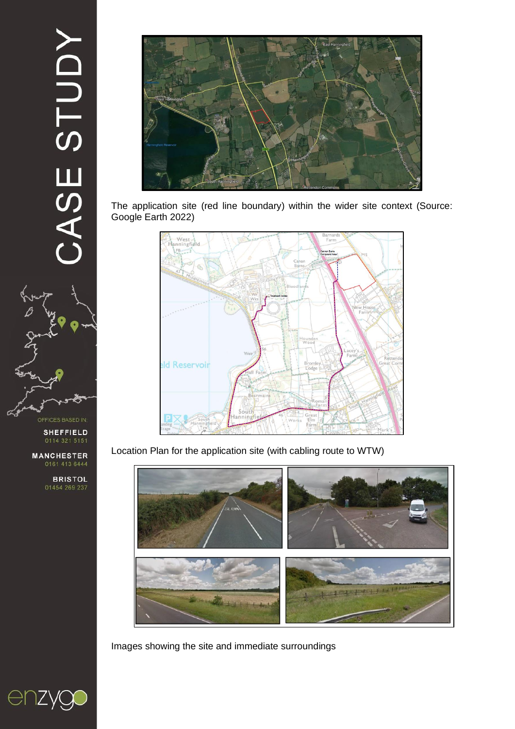# CASE STUDY



OFFICES BASED IN

**SHEFFIELD** 

**MANCHESTER** 

**BRISTOL**<br>01454 269 237



The application site (red line boundary) within the wider site context (Source: Google Earth 2022)



Location Plan for the application site (with cabling route to WTW)



Images showing the site and immediate surroundings

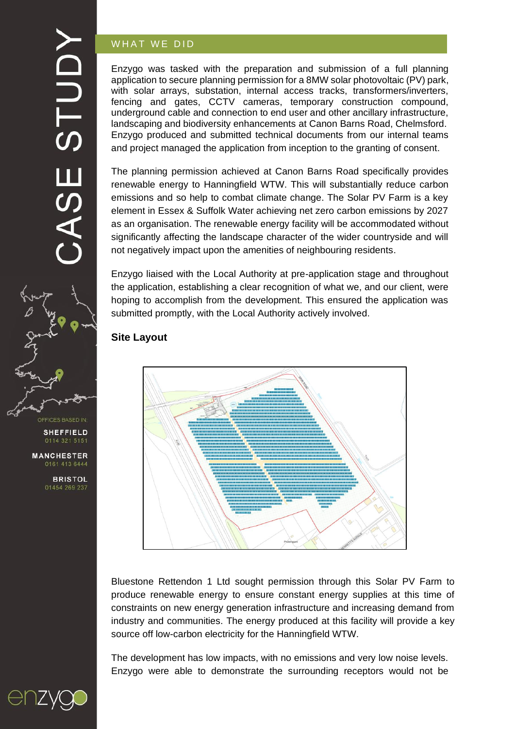## YCLDTS **SE**



**SHEFFIELD** 

**MANCHESTER** 0161 413 6444

> **BRISTOL** 01454 269 237

## WHAT WE DID

Enzygo was tasked with the preparation and submission of a full planning application to secure planning permission for a 8MW solar photovoltaic (PV) park, with solar arrays, substation, internal access tracks, transformers/inverters, fencing and gates, CCTV cameras, temporary construction compound, underground cable and connection to end user and other ancillary infrastructure, landscaping and biodiversity enhancements at Canon Barns Road, Chelmsford. Enzygo produced and submitted technical documents from our internal teams and project managed the application from inception to the granting of consent.

The planning permission achieved at Canon Barns Road specifically provides renewable energy to Hanningfield WTW. This will substantially reduce carbon emissions and so help to combat climate change. The Solar PV Farm is a key element in Essex & Suffolk Water achieving net zero carbon emissions by 2027 as an organisation. The renewable energy facility will be accommodated without significantly affecting the landscape character of the wider countryside and will not negatively impact upon the amenities of neighbouring residents.

Enzygo liaised with the Local Authority at pre-application stage and throughout the application, establishing a clear recognition of what we, and our client, were hoping to accomplish from the development. This ensured the application was submitted promptly, with the Local Authority actively involved.

## **Site Layout**



Bluestone Rettendon 1 Ltd sought permission through this Solar PV Farm to produce renewable energy to ensure constant energy supplies at this time of constraints on new energy generation infrastructure and increasing demand from industry and communities. The energy produced at this facility will provide a key source off low-carbon electricity for the Hanningfield WTW.

The development has low impacts, with no emissions and very low noise levels. Enzygo were able to demonstrate the surrounding receptors would not be